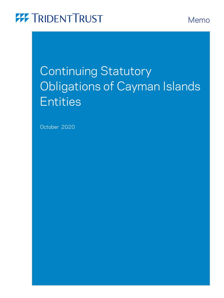Memo

# Continuing Statutory Obligations of Cayman Islands **Entities**

October 2020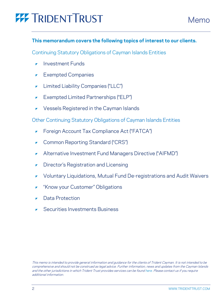### **This memorandum covers the following topics of interest to our clients.**

Continuing Statutory Obligations of Cayman Islands Entities

- [Investment Funds](#page-2-0)
- [Exempted Companies](#page-5-0)
- [Limited Liability Companies \("LLC"\)](#page-13-0)
- [Exempted Limited Partnerships \("ELP"\)](#page-16-0)
- [Vessels Registered in the Cayman Islands](#page-19-0)

Other Continuing Statutory Obligations of Cayman Islands Entities

- [Foreign Account Tax Compliance Act \("FATCA"\)](#page-23-0)
- [Common Reporting Standard \("CRS"\)](#page-24-0)
- [Alternative Investment Fund Managers Directive \("AIFMD"\)](#page-24-1)
- [Director's Registration and Licensing](#page-25-0)
- [Voluntary Liquidations, Mutual Fund De-registrations and Audit Waivers](#page-25-1)
- ["Know your Customer" Obligations](#page-25-2)
- [Data Protection](#page-25-3)
- [Securities Investments Business](#page-26-0)

This memo is intended to provide general information and guidance for the clients of Trident Cayman. It is not intended to be comprehensive and should not be construed as legal advice. Further information, news and updates from the Cayman Islands and the other jurisdictions in which Trident Trust provides services can be foun[d here.](https://tridenttrust.com/) Please contact us if you require additional information.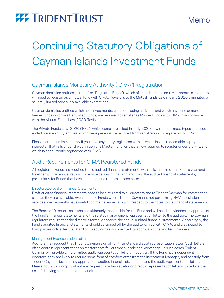# <span id="page-2-0"></span>Continuing Statutory Obligations of Cayman Islands Investment Funds

### Cayman Islands Monetary Authority ("CIMA") Registration

Cayman domiciled entities (hereinafter "Regulated Funds"), which offer redeemable equity interests to investors will need to register as a mutual fund with CIMA. Revisions to the Mutual Funds Law in early 2020 eliminated or severely limited previously available exemptions.

Cayman domiciled entities which hold investments, conduct trading activities and which have one or more feeder funds which are Regulated Funds, are required to register as Master Funds with CIMA in accordance with the Mutual Funds Law (2020 Revision).

The Private Funds Law, 2020 ("PFL"), which came into effect in early 2020 now requires most types of closed ended private equity entities, which were previously exempted from registration, to register with CIMA.

Please contact us immediately if you have any entity registered with us which issues redeemable equity interests, that falls under the definition of a Master Fund, or that is now required to register under the PFL and which is not currently registered with CIMA.

### Audit Requirements for CIMA Registered Funds

All registered Funds are required to file audited financial statements within six months of the Fund's year-end together with an annual return. To reduce delays in finalising and filing the audited financial statements, particularly for Funds that have independent directors, please note:

### Director Approval of Financial Statements

Draft audited financial statements need to be circulated to all directors and to Trident Cayman for comment as soon as they are available. Even on those Funds where Trident Cayman is not performing NAV calculation services, we frequently have useful comments, especially with respect to the notes to the financial statements.

The Board of Directors as a whole is ultimately responsible for the Fund and will need to evidence its approval of the Fund's financial statements and the related management representation letter to the auditors. The Cayman regulators require that the directors formally approve the annual audited financial statements. Accordingly, the Fund's audited financial statements should be signed off by the auditors, filed with CIMA, and distributed to third parties only after the Board of Directors has documented its approval of the audited financials.

### Management Representation Letters

Auditors may request that Trident Cayman sign off on their standard audit representation letter. Such letters often contain representations on matters that fall outside our role and knowledge. In such cases Trident Cayman will provide a more limited audit representation letter. In addition, if the Fund has independent directors, they are likely to require some form of comfort letter from the Investment Manager, and possibly from Trident Cayman, before they approve the audited financial statements and the audit representation letter. Please notify us promptly about any request for administrator or director representation letters, to reduce the risk of delaying completion of the audit.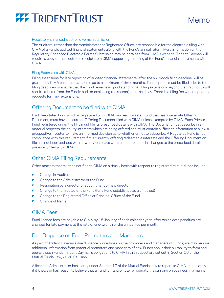

#### Regulatory Enhanced Electronic Forms Submission

The Auditors, rather than the Administrator or Registered Office, are responsible for the electronic filing with CIMA of a Fund's audited financial statements along with the Fund's annual return. More information on the Regulatory Enhanced Electronic Forms Submission may be obtained from [CIMA's website](https://www.cima.ky/), Trident Cayman will require a copy of the electronic receipt from CIMA supporting the filing of the Fund's financial statements with **CIMA** 

#### Filing Extensions with CIMA

Filing extensions for late reporting of audited financial statements, after the six-month filing deadline, will be granted by CIMA one month at a time up to a maximum of three months. The requests must be filed prior to the filing deadlines to ensure that the Fund remains in good standing. All filing extensions beyond the first month will require a letter from the Fund's auditor explaining the reason(s) for the delay. There is a filing fee with respect to requests for filing extensions.

### Offering Document to be filed with CIMA

Each Regulated Fund which is registered with CIMA, and each Master Fund that has a separate Offering Document, must have its current Offering Document filed with CIMA unless exempted by CIMA. Each Private Fund registered under the PFL must file its prescribed details with CIMA. The Document must describe in all material respects the equity interests which are being offered and must contain sufficient information to allow a prospective investor to make an informed decision as to whether or not to subscribe. A Regulated Fund is not in compliance with this requirement if it is currently offering redeemable interests and the Offering Document on file has not been updated within twenty-one days with respect to material changes to the prescribed details previously filed with CIMA.

### Other CIMA Filing Requirements

Other matters that must be notified to CIMA on a timely basis with respect to registered mutual funds include:

- Change in Auditors
- Change to the Administrator of the Fund
- $\blacktriangleright$  Resignation by a director or appointment of new director
- Change to the Trustee of the Fund (for a Fund established as a unit trust)
- Change to the Registered Office or Principal Office of the Fund
- Change of Name

### CIMA Fees

Fund licence fees are payable to CIMA by 15 January of each calendar year, after which date penalties are charged for late payment at the rate of one-twelfth of the annual fee per month.

### Due Diligence on Fund Promoters and Managers

As part of Trident Cayman's due diligence procedures on the promoters and managers of Funds, we may require additional information from potential promoters and managers of new Funds about their suitability to form and operate such Funds. Trident Cayman's obligations to CIMA in this respect are set out in Section 16 of the Mutual Funds Law, 2020 Revision.

A licenced Administrator has a duty under Section 17 of the Mutual Funds Law to report to CIMA immediately if it knows or has reason to believe that a Fund, or its promoter or operator, is carrying on business in a manner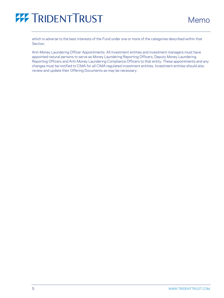

which is adverse to the best interests of the Fund under one or more of the categories described within that Section.

Anti-Money Laundering Officer Appointments: All investment entities and investment managers must have appointed natural persons to serve as Money Laundering Reporting Officers, Deputy Money Laundering Reporting Officers and Anti-Money Laundering Compliance Officers to that entity. These appointments and any changes must be notified to CIMA for all CIMA regulated investment entities. Investment entities should also review and update their Offering Documents as may be necessary.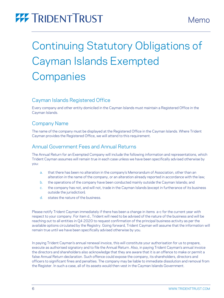# <span id="page-5-0"></span>Continuing Statutory Obligations of Cayman Islands Exempted **Companies**

### Cayman Islands Registered Office

Every company and other entity domiciled in the Cayman Islands must maintain a Registered Office in the Cayman Islands.

### Company Name

The name of the company must be displayed at the Registered Office in the Cayman Islands. Where Trident Cayman provides the Registered Office, we will attend to this requirement.

### Annual Government Fees and Annual Returns

The Annual Return for an Exempted Company will include the following information and representations, which Trident Cayman assumes will remain true in each case unless we have been specifically advised otherwise by you:

- a. that there has been no alteration in the company's Memorandum of Association, other than an alteration in the name of the company, or an alteration already reported in accordance with the law;
- b. the operations of the company have been conducted mainly outside the Cayman Islands; and
- c. the company has not, and will not, trade in the Cayman Islands (except in furtherance of its business outside the jurisdiction).
- d. states the nature of the business.

Please notify Trident Cayman immediately if there has been a change in items a-c for the current year with respect to your company. For item d., Trident will need to be advised of the nature of the business and will be reaching out to all entities in Q4 2020 to request confirmation of the principal business activity as per the available options circulated by the Registry. Going forward, Trident Cayman will assume that the information will remain true until we have been specifically advised otherwise by you.

In paying Trident Cayman's annual renewal invoice, this will constitute your authorisation for us to prepare, execute as authorised signatory and to file the Annual Return. Also, in paying Trident Cayman's annual invoice the directors and shareholders also acknowledge that they are aware that it is an offence to make or permit a false Annual Return declaration. Such offence could expose the company, its shareholders, directors and officers to significant fines and penalties. The company may be liable to immediate dissolution and removal from the Register. In such a case, all of its assets would then vest in the Cayman Islands Government.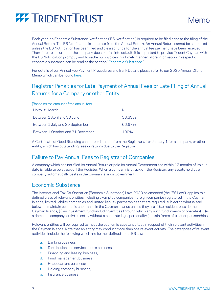

Each year, an Economic Substance Notification ("ES Notification") is required to be filed prior to the filing of the Annual Return. The ES Notification is separate from the Annual Return. An Annual Return cannot be submitted unless the ES Notification has been filed and cleared funds for the annual fee payment have been received. Therefore, to ensure that the company does not fall into default, it is important to provide Trident Cayman with the ES Notification promptly and to settle our invoices in a timely manner. More information in respect of economic substance can be read at the section "[Economic Substance.](#page-6-0)"

For details of our Annual Fee Payment Procedures and Bank Details please refer to our 2020 Annual Client Memo which can be found [here.](https://tridenttrust.com/locations/cayman-islands/)

## Registrar Penalties for Late Payment of Annual Fees or Late Filing of Annual Returns for a Company or other Entity

<span id="page-6-1"></span>

| (Based on the amount of the annual fee) |        |
|-----------------------------------------|--------|
| Up to 31 March                          | Nil    |
| Between 1 April and 30 June             | 33.33% |
| Between 1 July and 30 September         | 66.67% |
| Between 1 October and 31 December       | 100%   |

A Certificate of Good Standing cannot be obtained from the Registrar after January 1 for a company, or other entity, which has outstanding fees or returns due to the Registrar.

### Failure to Pay Annual Fees to Registrar of Companies

A company which has not filed its Annual Return or paid its Annual Government fee within 12 months of its due date is liable to be struck off the Register. When a company is struck off the Register, any assets held by a company automatically vests in the Cayman Islands Government.

### <span id="page-6-0"></span>Economic Substance

The International Tax Co-Operation (Economic Substance) Law, 2020 as amended (the "ES Law") applies to a defined class of relevant entities including exempted companies, foreign companies registered in the Cayman Islands, limited liability companies and limited liability partnerships that are required, subject to what is said below, to maintain economic substance in the Cayman Islands unless they are (i) tax resident outside the Cayman Islands; (ii) an investment fund (including entities through which any such fund invests or operates); (; (ii) a domestic company or (iv) an entity without a separate legal personality (certain forms of trust or partnerships).

Relevant entities will be required to meet the economic substance test in respect of their relevant activities in the Cayman Islands. Note that an entity may conduct more than one relevant activity. The categories of relevant activities include the following which are further defined in the ES Law:

- a. Banking business;
- b. Distribution and service centre business;
- c. Financing and leasing business;
- d. Fund management business;
- e. Headquarters business;
- f. Holding company business;
- g. Insurance business;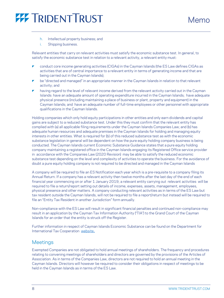

- h. Intellectual property business; and
- i. Shipping business.

Relevant entities that carry on relevant activities must satisfy the economic substance test. In general, to satisfy the economic substance test in relation to a relevant activity, a relevant entity must:

- conduct core income generating activities (CIGAs) in the Cayman Islands (the ES Law defines CIGAs as activities that are of central importance to a relevant entity in terms of generating income and that are being carried out in the Cayman Islands);
- $\blacktriangleright$  be "directed and managed" in an appropriate manner in the Cayman Islands in relation to that relevant activity; and
- having regard to the level of relevant income derived from the relevant activity carried out in the Cayman Islands: have an adequate amount of operating expenditure incurred in the Cayman Islands; have adequate physical presence (including maintaining a place of business or plant, property and equipment) in the Cayman Islands; and have an adequate number of full-time employees or other personnel with appropriate qualifications in the Cayman Islands.

Holding companies which only hold equity participations in other entities and only earn dividends and capital gains are subject to a reduced substance test. Under this they must confirm that the relevant entity has complied with (a) all applicable filing requirements under the Cayman Islands Companies Law; and (b) has adequate human resources and adequate premises in the Cayman Islands for holding and managing equity interests in other entities. What is required for (b) of this reduced substance test as with the economic substance legislation in general will be dependent on how the pure equity holding company business is being conducted. The Cayman Islands current Economic Substance Guidance states that a pure equity holding company maintaining a registered office in the Cayman Islands engaging its Registered Office service provider in accordance with the Companies Law (2020 Revision) may be able to satisfy the reduced economic substance test depending on the level and complexity of activities to operate the business. For the avoidance of doubt a pure equity holding company is not required to be directed and managed in the Cayman Islands

A company will be required to file an ES Notification each year which is a pre-requisite to a company filing its Annual Return. If a company has a relevant activity then twelve months after the last day of the end of each financial year commencing on or after 1 January 2019, a relevant entity carrying out relevant activities will be required to file a return/report setting out details of income, expenses, assets, management, employees, physical presence and other matters. A company conducting relevant activities as in terms of the ES Law but tax resident outside the Cayman Islands, will not be required to file a report/return but instead will be required to file an "Entity Tax Resident in another Jurisdiction" form annually.

Non-compliance with the ES Law will result in significant financial penalties and continued non-compliance may result in an application by the Cayman Tax Information Authority ("TIA") to the Grand Court of the Cayman Islands for an order that the entity is struck off the Register.

Further information in respect of Cayman Islands Economic Substance can be found on the Department for International Tax Cooperation [website](https://protect.mimecast-offshore.com/s/2hOVCrRo2jTAX8Gkc7BYYR?domain=ditc.gov.ky).

### **Meetings**

Exempted Companies are not obligated to hold annual meetings of shareholders. The frequency and procedures relating to convening meetings of shareholders and directors are governed by the provisions of the Articles of Association. As in terms of the Companies Law, directors are not required to hold an annual meeting in the Cayman Islands. Directors will however be required to consider their obligations in respect of meetings to be held in the Cayman Islands as in terms of the ES Law.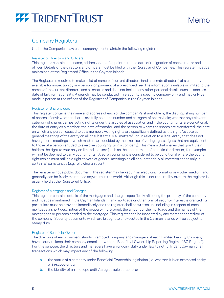### Company Registers

Under the Companies Law each company must maintain the following registers:

#### Register of Directors and Officers

This register contains the name, address, date of appointment and date of resignation of each director and officer. Details of the directors and officers must be filed with the Registrar of Companies. This register must be maintained at the Registered Office in the Cayman Islands.

The Registrar is required to make a list of names of current directors (and alternate directors) of a company available for inspection by any person, on payment of a prescribed fee. The information available is limited to the names of the current directors and alternates and does not include any other personal details such as address, date of birth or nationality. A search may be conducted in relation to a specific company only and may only be made in person at the offices of the Registrar of Companies in the Cayman Islands.

#### Register of Shareholders

This register contains the name and address of each of the company's shareholders; the distinguishing number of shares (if any); whether shares are fully paid; the number and category of shares held; whether any relevant category of shares carries voting rights under the articles of association and if the voting rights are conditional; the date of entry as a member; the date of transfer; and the person to whom the shares are transferred; the date on which any person ceased to be a member. Voting rights are specifically defined as the right "to vote at general meetings of the entity on all or substantially all matters" (or, in relation to a legal entity that does not have general meetings at which matters are decided by the exercise of voting rights, rights that are equivalent to those of a person entitled to exercise voting rights in a company). This means that shares that grant their holders the right to vote only on limited matters (such as the appointment of a particular director, for example) will not be deemed to carry voting rights. Also, a voting right is considered to be conditional where the voting right (which must still be a right to vote at general meetings on all or substantially all matters) arises only in certain circumstances (e.g. following an event).

The register is not a public document. The register may be kept in an electronic format or any other medium and generally can be freely maintained anywhere in the world. Although this is not required by statute the register is usually held at the Registered Office.

### <span id="page-8-0"></span>Register of Mortgages and Charges

This register contains details of the mortgages and charges specifically affecting the property of the company and must be maintained in the Cayman Islands. If any mortgage or other form of security interest is granted, full particulars must be provided immediately and the register shall be written up, including in respect of each mortgage a short description of the property mortgaged, the amount of the mortgage and the names of the mortgagees or persons entitled to the mortgage. This register can be inspected by any member or creditor of the company. Security documents which are brought to or executed in the Cayman Islands will be subject to stamp duty.

### <span id="page-8-1"></span>Register of Beneficial Owners

The directors of each Cayman Islands Exempted Company and managers of each Limited Liability Company have a duty to keep their company compliant with the Beneficial Ownership Reporting Regime ("BO Regime"). For this purpose, the directors and managers have an ongoing duty under law to notify Trident Cayman of all transactions which may impact any of the following:

- a. the status of a company under Beneficial Ownership legislation (i.e. whether it is an exempted entity or in-scope entity);
- b. the identity of an in-scope entity's registrable persons; or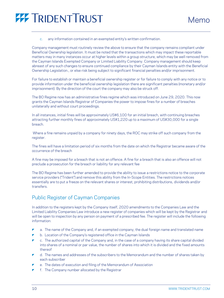

#### c. any information contained in an exempted entity's written confirmation.

Company management must routinely review the above to ensure that the company remains compliant under Beneficial Ownership legislation. It must be noted that the transactions which may impact these reportable matters may in many instances occur at higher levels within a group structure, which may be well removed from the Cayman Islands Exempted Company or Limited Liability Company. Company management should keep abreast of any such changes to ensure continued compliance by their Cayman Islands entity with the Beneficial Ownership Legislation., or else risk being subject to significant financial penalties and/or imprisonment.

For failure to establish or maintain a beneficial ownership register or for failure to comply with any notice or to provide information under the beneficial ownership legislation there are significant penalties (monetary and/or imprisonment). By the direction of the court the company may also be struck off.

The BO Regime now has an administrative fines regime which was introduced on June 29, 2020. This now grants the Cayman Islands Registrar of Companies the power to impose fines for a number of breaches unilaterally and without court proceedings.

In all instances, initial fines will be approximately US\$6,100 for an initial breach, with continuing breaches attracting further monthly fines of approximately US\$1,220 up to a maximum of US\$30,000 for a single breach.

Where a fine remains unpaid by a company for ninety days, the ROC may strike off such company from the register.

The fines will have a limitation period of six months from the date on which the Registrar became aware of the occurrence of the breach

A fine may be imposed for a breach that is not an offence. A fine for a breach that is also an offence will not preclude a prosecution for the breach or liability for any relevant fee

The BO Regime has been further amended to provide the ability to issue a restrictions notice to the corporate service providers ("Trident") and remove this ability from the In-Scope Entities. The restrictions notices essentially are to put a freeze on the relevant shares or interest, prohibiting distributions, dividends and/or transfers.

### Public Register of Cayman Companies

In addition to the registers kept by the Company itself, 2020 amendments to the Companies Law and the Limited Liability Companies Law introduce a new register of companies which will be kept by the Registrar and will be open to inspection by any person on payment of a prescribed fee. The register will include the following information:

- a. The name of the Company and, if an exempted company, the dual foreign name and translated name
- ▼ b. Location of the Company's registered office in the Cayman Islands
- c. The authorized capital of the Company and, in the case of a company having its share capital divided into shares of a nominal or par value, the number of shares into which it is divided and the fixed amounts thereof
- $\blacksquare$  d. The names and addresses of the subscribers to the Memorandum and the number of shares taken by each subscriber
- e. The dates of execution and filing of the Memorandum of Association
- f. The Company number allocated by the Registrar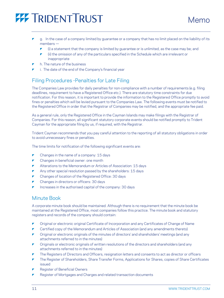- g. In the case of a company limited by guarantee or a company that has no limit placed on the liability of its members —
	- $\triangleright$  (i) a statement that the company is limited by guarantee or is unlimited, as the case may be; and
	- $\blacktriangleright$  (ii) the omission of any of the particulars specified in the Schedule which are irrelevant or inappropriate
- h. The nature of the business
- i. The date of the end of the Company's financial year

### Filing Procedures -Penalties for Late Filing

The Companies Law provides for daily penalties for non-compliance with a number of requirements (e.g. filing deadlines, requirement to have a Registered Office etc.). There are statutory time constraints for due notification. For this reason, it is important to provide the information to the Registered Office promptly to avoid fines or penalties which will be levied pursuant to the Companies Law. The following events must be notified to the Registered Office in order that the Registrar of Companies may be notified, and the appropriate fee paid.

As a general rule, only the Registered Office in the Cayman Islands may make filings with the Registrar of Companies. For this reason, all significant statutory corporate events should be notified promptly to Trident Cayman for the appropriate filing by us, if required, with the Registrar.

Trident Cayman recommends that you pay careful attention to the reporting of all statutory obligations in order to avoid unnecessary fines or penalties.

The time limits for notification of the following significant events are:

- $\blacktriangleright$  Changes in the name of a company: 15 days
- Changes in beneficial owner: one month
- Alterations to the Memorandum or Articles of Association: 15 days
- Any other special resolution passed by the shareholders: 15 days
- Changes of location of the Registered Office: 30 days
- Changes in directors or officers: 30 days
- Increases in the authorised capital of the company: 30 days

### Minute Book

A corporate minute book should be maintained. Although there is no requirement that the minute book be maintained at the Registered Office, most companies follow this practice. The minute book and statutory registers and records of the company should contain:

- Original or electronic original Certificate of Incorporation and any Certificates of Change of Name
- **Certified copy of the Memorandum and Articles of Association (and any amendments thereto)**
- Original or electronic originals of the minutes of directors' and shareholders' meetings (and any attachments referred to in the minutes)
- **T** Originals or electronic originals of written resolutions of the directors and shareholders (and any attachments referred to in the minutes)
- The Registers of Directors and Officers, resignation letters and consents to act as director or officers
- The Register of Shareholders, Share Transfer Forms, Applications for Shares, copies of Share Certificates issued
- Register of Beneficial Owners
- Register of Mortgages and Charges and related transaction documents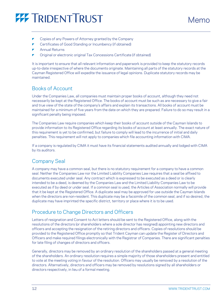- Copies of any Powers of Attorney granted by the Company
- Certificates of Good Standing or Incumbency (if obtained)
- Annual Returns
- Original or electronic original Tax Concessions Certificate (if obtained)

It is important to ensure that all relevant information and paperwork is provided to keep the statutory records up-to-date irrespective of where the documents originate. Maintaining all parts of the statutory records at the Cayman Registered Office will expedite the issuance of legal opinions. Duplicate statutory records may be maintained.

### <span id="page-11-0"></span>Books of Account

Under the Companies Law, all companies must maintain proper books of account, although they need not necessarily be kept at the Registered Office. The books of account must be such as are necessary to give a fair and true view of the state of the company's affairs and explain its transactions. All books of account must be maintained for a minimum of five years from the date on which they are prepared. Failure to do so may result in a significant penalty being imposed.

The Companies Law require companies which keep their books of account outside of the Cayman Islands to provide information to its Registered Office regarding its books of account at least annually. The exact nature of this requirement is yet to be confirmed, but failure to comply will lead to the incurrence of initial and daily penalties. This requirement will not apply to companies which file accounting information with CIMA.

If a company is regulated by CIMA it must have its financial statements audited annually and lodged with CIMA by its auditors.

### <span id="page-11-1"></span>Company Seal

A company may have a common seal, but there is no statutory requirement for a company to have a common seal. Neither the Companies Law nor the Limited Liability Companies Law requires that a seal be affixed to documents executed under seal. Any contract which is expressed to be executed as a deed or is clearly intended to be a deed, is deemed by the Companies Law and the Limited Liability Companies Law to be executed as if by deed or under seal. If a common seal is used, the Articles of Association normally will provide that it be kept at the Registered Office. A duplicate seal may be approved for use outside the Cayman Islands when the directors are non-resident. This duplicate may be a facsimile of the common seal, and if so desired, the duplicate may have imprinted the specific district, territory or place where it is to be used.

### Procedure to Change Directors and Officers

Letters of resignation and Consent to Act letters should be sent to the Registered Office, along with the resolutions of the directors (or shareholders where a sole director has resigned) appointing new directors and officers and accepting the resignation of the retiring directors and officers. Copies of resolutions should be provided to the Registered Office promptly so that Trident Cayman can update the Register of Directors and Officers and make required filings electronically with the Registrar of Companies. There are significant penalties for late filing of changes of directors and officers.

Generally, directors may be removed by an ordinary resolution of the shareholders passed at a general meeting of the shareholders. An ordinary resolution requires a simple majority of those shareholders present and entitled to vote at the meeting voting in favour of the resolution. Officers may usually be removed by a resolution of the directors. Alternatively, directors and officers may be removed by resolutions signed by all shareholders or directors respectively, in lieu of a formal meeting.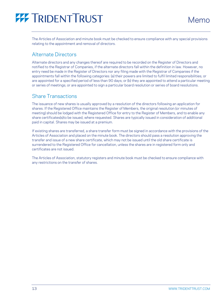

The Articles of Association and minute book must be checked to ensure compliance with any special provisions relating to the appointment and removal of directors.

### Alternate Directors

Alternate directors and any changes thereof are required to be recorded on the Register of Directors and notified to the Registrar of Companies, if the alternate directors fall within the definition in law. However, no entry need be made in the Register of Directors nor any filing made with the Registrar of Companies if the appointments fall within the following categories: (a) their powers are limited to fulfil limited responsibilities; or are appointed for a specified period of less than 90 days; or (b) they are appointed to attend a particular meeting or series of meetings; or are appointed to sign a particular board resolution or series of board resolutions.

### Share Transactions

The issuance of new shares is usually approved by a resolution of the directors following an application for shares. If the Registered Office maintains the Register of Members, the original resolution (or minutes of meeting) should be lodged with the Registered Office for entry to the Register of Members, and to enable any share certificates(s)to be issued, where requested. Shares are typically issued in consideration of additional paid in capital. Shares may be issued at a premium.

If existing shares are transferred, a share transfer form must be signed in accordance with the provisions of the Articles of Association and placed on the minute book. The directors should pass a resolution approving the transfer and issue of a new share certificate, which may not be issued until the old share certificate is surrendered to the Registered Office for cancellation, unless the shares are in registered form only and certificates are not issued.

The Articles of Association, statutory registers and minute book must be checked to ensure compliance with any restrictions on the transfer of shares.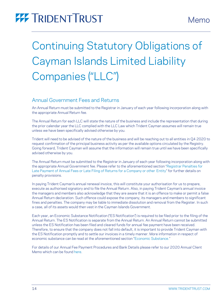# <span id="page-13-0"></span>Continuing Statutory Obligations of Cayman Islands Limited Liability Companies ("LLC")

### Annual Government Fees and Returns

An Annual Return must be submitted to the Registrar in January of each year following incorporation along with the appropriate Annual Return fee.

The Annual Return for each LLC will state the nature of the business and include the representation that during the prior calendar year the LLC complied with the LLC Law which Trident Cayman assumes will remain true unless we have been specifically advised otherwise by you.

Trident will need to be advised of the nature of the business and will be reaching out to all entities in Q4 2020 to request confirmation of the principal business activity as per the available options circulated by the Registry. Going forward, Trident Cayman will assume that the information will remain true until we have been specifically advised otherwise by you.

The Annual Return must be submitted to the Registrar in January of each year following incorporation along with the appropriate Annual Government fee. Please refer to the aforementioned section "[Registrar Penalties for](#page-6-1)  [Late Payment of Annual Fees or Late Filing of Returns for a Company or other](#page-6-1) Entity" for further details on penalty provisions.

In paying Trident Cayman's annual renewal invoice, this will constitute your authorisation for us to prepare, execute as authorised signatory and to file the Annual Return. Also, in paying Trident Cayman's annual invoice the managers and members also acknowledge that they are aware that it is an offence to make or permit a false Annual Return declaration. Such offence could expose the company, its managers and members to significant fines and penalties. The company may be liable to immediate dissolution and removal from the Register. In such a case, all of its assets would then vest in the Cayman Islands Government.

Each year, an Economic Substance Notification ("ES Notification") is required to be filed prior to the filing of the Annual Return. The ES Notification is separate from the Annual Return. An Annual Return cannot be submitted unless the ES Notification has been filed and cleared funds for annual fee payment have been received. Therefore, to ensure that the company does not fall into default, it is important to provide Trident Cayman with the ES Notification promptly and to settle our invoices in a timely manner. More information in respect of economic substance can be read at the aforementioned section "[Economic Substance.](#page-6-0)"

For details of our Annual Fee Payment Procedures and Bank Details please refer to our 2020 Annual Client Memo which can be found [here.](https://tridenttrust.com/locations/cayman-islands/)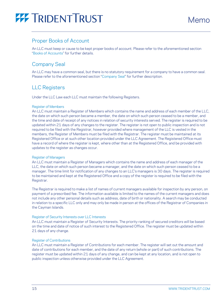

### Proper Books of Account

An LLC must keep or cause to be kept proper books of account. Please refer to the aforementioned section "[Books of Accounts](#page-11-0)" for further details.

### Company Seal

An LLC may have a common seal, but there is no statutory requirement for a company to have a common seal. Please refer to the aforementioned section "[Company Seal](#page-11-1)" for further description.

### LLC Registers

Under the LLC Law each LLC must maintain the following Registers.

#### Register of Members

An LLC must maintain a Register of Members which contains the name and address of each member of the LLC, the date on which such person became a member, the date on which such person ceased to be a member, and the time and date of receipt of any notices in relation of security interests served. The register is required to be updated within 21 days of any changes to the register. The register is not open to public inspection and is not required to be filed with the Registrar, however provided where management of the LLC is vested in the members, the Register of Members must be filed with the Registrar. The register must be maintained at its Registered Office or at such other location provided under the LLC Agreement. The Registered Office must have a record of where the register is kept, where other than at the Registered Office, and be provided with updates to the register as changes occur.

#### Register of Managers

An LLC must maintain a Register of Managers which contains the name and address of each manager of the LLC, the date on which such person became a manager, and the date on which such person ceased to be a manager. The time limit for notification of any changes to an LLC's managers is 30 days. The register is required to be maintained and kept at the Registered Office and a copy of the register is required to be filed with the Registrar.

The Registrar is required to make a list of names of current managers available for inspection by any person, on payment of a prescribed fee. The information available is limited to the names of the current managers and does not include any other personal details such as address, date of birth or nationality. A search may be conducted in relation to a specific LLC only and may only be made in person at the offices of the Registrar of Companies in the Cayman Islands.

### Register of Security Interests over LLC Interests

An LLC must maintain a Register of Security Interests. The priority ranking of secured creditors will be based on the time and date of notice of such interest to the Registered Office. The register must be updated within 21 days of any change.

### Register of Contributions

An LLC must maintain a Register of Contributions for each member. The register will set out the amount and date of contributions for each member, and the date of any return (whole or part) of such contributions. The register must be updated within 21 days of any change, and can be kept at any location, and is not open to public inspection unless otherwise provided under the LLC Agreement.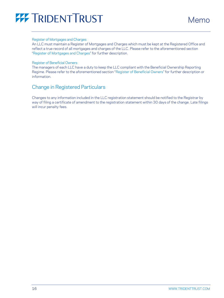#### Register of Mortgages and Charges

An LLC must maintain a Register of Mortgages and Charges which must be kept at the Registered Office and reflect a true record of all mortgages and charges of the LLC. Please refer to the aforementioned section "[Register of Mortgages and Charges](#page-8-0)" for further description.

#### Register of Beneficial Owners

The managers of each LLC have a duty to keep the LLC compliant with the Beneficial Ownership Reporting Regime. Please refer to the aforementioned section "[Register of Beneficial Owners](#page-8-1)" for further description or information.

### Change in Registered Particulars

Changes to any information included in the LLC registration statement should be notified to the Registrar by way of filing a certificate of amendment to the registration statement within 30 days of the change. Late filings will incur penalty fees.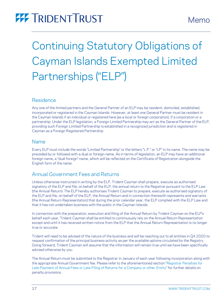# <span id="page-16-0"></span>Continuing Statutory Obligations of Cayman Islands Exempted Limited Partnerships ("ELP")

### Residence

Any one of the limited partners and the General Partner of an ELP may be resident, domiciled, established, incorporated or registered in the Cayman Islands. However, at least one General Partner must be resident in the Cayman Islands if an individual or registered here (as a local or foreign corporation), if a corporation or a partnership. Under the ELP legislation, a Foreign Limited Partnership may act as the General Partner of the ELP, providing such Foreign Limited Partnership is established in a recognized jurisdiction and is registered in Cayman as a Foreign Registered Partnership.

### Name

Every ELP must include the words "Limited Partnership" or the letters "L.P." or "LP" in its name. The name may be preceded by or followed with a dual or foreign name. As in terms of legislation, an ELP may have an additional foreign name, a "dual foreign" name, which will be reflected on the Certificate of Registration alongside the English form of the name.

## Annual Government Fees and Returns

Unless otherwise instructed in writing by the ELP, Trident Cayman shall prepare, execute as authorised signatory of the ELP and file, on behalf of the ELP, the annual return to the Registrar pursuant to the ELP Law (the Annual Return). The ELP hereby authorises Trident Cayman to prepare, execute as authorised signatory of the ELP and file, on behalf of the ELP, the Annual Return and in connection therewith represents and warrants (the Annual Return Representation) that during the prior calendar year, the ELP complied with the ELP Law and that it has not undertaken business with the public in the Cayman Islands.

In connection with the preparation, execution and filing of the Annual Return by Trident Cayman on the ELP's behalf each year, Trident Cayman shall be entitled to continuously rely on the Annual Return Representation except and until it has received written notice from the ELP that the Annual Return Representation is no longer true or accurate.

Trident will need to be advised of the nature of the business and will be reaching out to all entities in Q4 2020 to request confirmation of the principal business activity as per the available options circulated by the Registry. Going forward, Trident Cayman will assume that the information will remain true until we have been specifically advised otherwise by you.

The Annual Return must be submitted to the Registrar in January of each year following incorporation along with the appropriate Annual Government fee. Please refer to the aforementioned section "[Registrar Penalties for](#page-6-1)  [Late Payment of Annual Fees or Late Filing of Returns for a Company or other](#page-6-1) Entity" for further details on penalty provisions.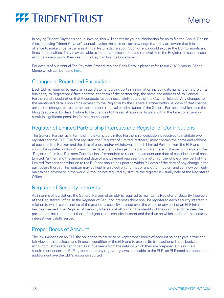In paying Trident Cayman's annual invoice, this will constitute your authorisation for us to file the Annual Return. Also, in paying Trident Cayman's annual invoice the partners acknowledge that they are aware that it is an offence to make or permit a false Annual Return declaration. Such offence could expose the ELP to significant fines and penalties. They may be liable to immediate dissolution and removal from the Register. In such a case, all of its assets would then vest in the Cayman Islands Government.

For details of our Annual Fee Payment Procedures and Bank Details please refer to our 2020 Annual Client Memo which can be found [here.](https://tridenttrust.com/locations/cayman-islands/)

### Changes in Registered Particulars

Each ELP is required to make an initial statement giving certain information including its name; the nature of its business; its Registered Office address; the term of the partnership; the name and address of its General Partner; and a declaration that it conducts its business mainly outside of the Cayman Islands. Any changes to the mentioned details should be advised to the Registrar by the General Partner within 60 days of that change, unless the change relates to the replacement, removal or admittance of the General Partner, in which case the filing deadline is 15 days. Failure to file changes to the registration particulars within the time constraint will result in significant penalties for non-compliance.

### Register of Limited Partnership Interests and Register of Contributions

The General Partner as in terms of the Exempted Limited Partnership legislation is required to maintain two registers for the ELP. The first register, the "Register of Limited Partners," must contain the name and address of each Limited Partner and the date of entry and/or withdrawal of each Limited Partner from the ELP and should be updated within 21 days of the date of any change in the particulars therein. The second register, the "Register of Limited Partners Contributions," is required to record the amount and date of contributions of each Limited Partner, and the amount and date of any payment representing a return of the whole or any part of the Limited Partner's contribution to the ELP and should be updated within 21 days of the date of any change in the particulars therein. The register may be kept in an electronic format or any other medium and can now be freely maintained anywhere in the world. Although not required by statute the register is usually held at the Registered Office.

### Register of Security Interests

As in terms of legislation, the General Partner of an ELP is required to maintain a Register of Security Interests at the Registered Office. In the Register of Security Interests there shall be registered each security interest in relation to which a valid notice of the grant of a security interest over the whole or any part of an ELP interest has been served. The Register of Security Interests shall contain the identity of the grantor and grantee, the partnership interest or part thereof subject to the security interest and the date on which notice of the security interest was validly served.

### Proper Books of Account

The law imposes on an ELP the obligation to cause to be kept proper books of account so as to give a true and fair view of the business and financial condition of the ELP and to explain its transactions. These books of account must be retained for at least five years from the date on which they are prepared. Unless it is a requirement under the ELP agreement or any regulatory laws applicable to the ELP, an ELP need not appoint an auditor nor have the ELP's accounts audited.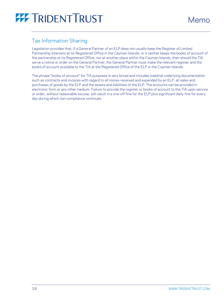### Tax Information Sharing

Legislation provides that, if a General Partner of an ELP does not usually keep the Register of Limited Partnership Interests at its Registered Office in the Cayman Islands, or it neither keeps the books of account of the partnership at its Registered Office, nor at another place within the Cayman Islands, then should the TIA serve a notice or order on the General Partner, the General Partner must make the relevant register and the books of account available to the TIA at the Registered Office of the ELP in the Cayman Islands.

The phrase "books of account" for TIA purposes is very broad and includes material underlying documentation such as contracts and invoices with regard to all money received and expended by an ELP, all sales and purchases of goods by the ELP and the assets and liabilities of the ELP. The accounts can be provided in electronic form or any other medium. Failure to provide the register or books of account to the TIA upon service or order, without reasonable excuse, will result in a one-off fine for the ELP plus significant daily fine for every day during which non-compliance continues.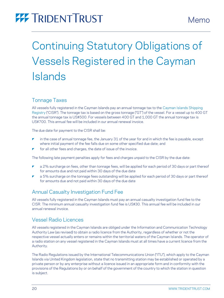# <span id="page-19-0"></span>Continuing Statutory Obligations of Vessels Registered in the Cayman Islands

### Tonnage Taxes

All vessels fully registered in the Cayman Islands pay an annual tonnage tax to th[e Cayman Islands Shipping](https://www.cishipping.com/welcome-maci)  [Registry](https://www.cishipping.com/welcome-maci) ("CISR"). The tonnage tax is based on the gross tonnage ("GT") of the vessel. For a vessel up to 400 GT the annual tonnage tax is US\$500. For vessels between 400 GT and 1,000 GT the annual tonnage tax is US\$700. This annual fee will be included in our annual renewal invoice.

The due date for payment to the CISR shall be:

- in the case of annual tonnage fee, the January 31 of the year for and in which the fee is payable, except where initial payment of the fee falls due on some other specified due date; and
- for all other fees and charges, the date of issue of the invoice.

The following late payment penalties apply for fees and charges unpaid to the CISR by the due date:

- a 2% surcharge on fees, other than tonnage fees, will be applied for each period of 30 days or part thereof for amounts due and not paid within 30 days of the due date
- a 5% surcharge on the tonnage fees outstanding will be applied for each period of 30 days or part thereof for amounts due and not paid within 30 days of the due date

### Annual Casualty Investigation Fund Fee

All vessels fully registered in the Cayman Islands must pay an annual casualty investigation fund fee to the CISR. The minimum annual casualty investigation fund fee is US\$30. This annual fee will be included in our annual renewal invoice.

### Vessel Radio Licences

All vessels registered in the Cayman Islands are obliged under the Information and Communication Technology Authority Law (as revised) to obtain a radio licence from the Authority, regardless of whether or not the respective vessel actually enters or remains within the territorial waters of the Cayman Islands. The operator of a radio station on any vessel registered in the Cayman Islands must at all times have a current licence from the Authority.

The Radio Regulations issued by the International Telecommunications Union ("ITU"), which apply to the Cayman Islands via United Kingdom legislation, state that no transmitting station may be established or operated by a private person or by any enterprise without a licence issued in an appropriate form and in conformity with the provisions of the Regulations by or on behalf of the government of the country to which the station in question is subject.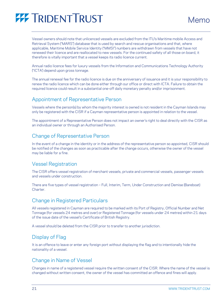

Vessel owners should note that unlicenced vessels are excluded from the ITU's Maritime mobile Access and Retrieval System ("MARS") database that is used by search and rescue organisations and that, where applicable, Maritime Mobile Service Identity ("MMSI") numbers are withdrawn from vessels that have not renewed their licence and are reallocated to new vessels. For the continued safety of all those on board, it therefore is vitally important that a vessel keeps its radio licence current.

Annual radio licence fees for luxury vessels from the Information and Communications Technology Authority ("ICTA') depend upon gross tonnage.

The annual renewal fee for the radio licence is due on the anniversary of issuance and it is your responsibility to renew the radio licence which can be done either through our office or direct with ICTA. Failure to obtain the required licence could result in a substantial one-off daily monetary penalty and/or imprisonment.

### Appointment of Representative Person

Vessels where the person(s) by whom the majority interest is owned is not resident in the Cayman Islands may only be registered with the CISR if a Cayman representative person is appointed in relation to the vessel.

The appointment of a Representative Person does not impact an owner's right to deal directly with the CISR as an individual owner or through an Authorised Person.

### Change of Representative Person

In the event of a change in the identity or in the address of the representative person so appointed, CISR should be notified of the changes as soon as practicable after the change occurs, otherwise the owner of the vessel may be liable for a fine.

### Vessel Registration

The CISR offers vessel registration of merchant vessels, private and commercial vessels, passenger vessels and vessels under construction.

There are five types of vessel registration – Full, Interim, Term, Under Construction and Demise (Bareboat) Charter.

### Change in Registered Particulars

All vessels registered in Cayman are required to be marked with its Port of Registry, Official Number and Net Tonnage (for vessels 24 metres and over) or Registered Tonnage (for vessels under 24 metres) within 21 days of the issue date of the vessel's Certificate of British Registry.

A vessel should be deleted from the CISR prior to transfer to another jurisdiction.

### Display of Flag

It is an offence to leave or enter any foreign port without displaying the flag and to intentionally hide the nationality of a vessel.

### Change in Name of Vessel

Changes in name of a registered vessel require the written consent of the CISR. Where the name of the vessel is changed without written consent, the owner of the vessel has committed an offence and fines will apply.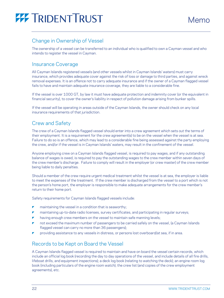

### Change in Ownership of Vessel

The ownership of a vessel can be transferred to an individual who is qualified to own a Cayman vessel and who intends to register the vessel in Cayman.

### Insurance Coverage

All Cayman Islands registered vessels (and other vessels whilst in Cayman Islands' waters) must carry insurance, which provides adequate cover against the risk of loss or damage to third parties, and against wreck removal expenses. It is an offence not to carry adequate insurance and if the owner of a Cayman flagged vessel fails to have and maintain adequate insurance coverage, they are liable to a considerable fine.

If the vessel is over 1000 GT, by law it must have adequate protection and indemnity cover (or the equivalent in financial security), to cover the owner's liability in respect of pollution damage arising from bunker spills.

If the vessel will be operating in areas outside of the Cayman Islands, the owner should check on any local insurance requirements of that jurisdiction.

### Crew and Safety

The crew of a Cayman Islands flagged vessel should enter into a crew agreement which sets out the terms of their employment. It is a requirement for the crew agreement(s) to be on the vessel when the vessel is at sea. Failure to do so is an offence, which may lead to a considerable fine being assessed against the party employing the crew, and/or if the vessel is in Cayman Islands' waters, may result in the confinement of the vessel.

Anyone employing crew on a Cayman Islands flagged vessel, is required to pay wages, and if any outstanding balance of wages is owed, is required to pay the outstanding wages to the crew member within seven days of the crew member's discharge. Failure to comply will result in the employer (or crew master) of the crew member being liable to daily penalties.

Should a member of the crew require urgent medical treatment whilst the vessel is at sea, the employer is liable to meet the expenses of the treatment. If the crew member is discharged from the vessel to a port which is not the person's home port, the employer is responsible to make adequate arrangements for the crew member's return to their home port.

Safety requirements for Cayman Islands flagged vessels include:

- maintaining the vessel in a condition that is seaworthy;
- maintaining up-to-date radio licenses, survey certificates, and participating in regular surveys;
- having enough crew members on the vessel to maintain safe manning levels;
- not exceed the maximum number of passengers to be carried safely on the vessel, (a Cayman Islands flagged vessel can carry no more than 36 passengers);
- providing assistance to any vessels in distress, or persons lost overboard/at sea, if in area.

### Records to be Kept on Board the Vessel

A Cayman Islands flagged vessel is required to maintain and have on board the vessel certain records, which include an official log book (recording the day to day operations of the vessel, and include details of all fire drills, lifeboat drills, and equipment inspections); a deck log book (relating to watching the deck); an engine room log book (including particulars of the engine room watch); the crew list (and copies of the crew employment agreements), etc.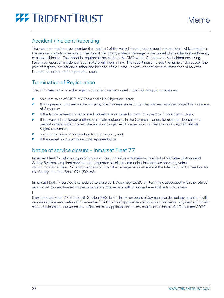

### Accident / Incident Reporting

The owner or master crew member (i.e., captain) of the vessel is required to report any accident which results in the serious injury to a person, or the loss of life, or any material damage to the vessel which affects its efficiency or seaworthiness. The report is required to be made to the CISR within 24 hours of the incident occurring. Failure to report an incident of such nature will incur a fine. The report must include the name of the vessel, the port of registry, the official number and location of the vessel, as well as note the circumstances of how the incident occurred, and the probable cause.

### Termination of Registration

The CISR may terminate the registration of a Cayman vessel in the following circumstances:

- **P** on submission of CISR857 Form and a No Objection Letter;
- that a penalty imposed on the owner(s) of a Cayman vessel under the law has remained unpaid for in excess of 3 months;
- if the tonnage fees of a registered vessel have remained unpaid for a period of more than 2 years;
- If the vessel is no longer entitled to remain registered in the Cayman Islands, for example, because the majority shareholder interest therein is no longer held by a person qualified to own a Cayman Islands registered vessel;
- on an application of termination from the owner; and
- if the vessel no longer has a local representative.

### Notice of service closure – Inmarsat Fleet 77

Inmarsat Fleet 77, which supports Inmarsat Fleet 77 ship earth stations, is a Global Maritime Distress and Safety System compliant service that integrates satellite communication services providing voice communications. Fleet 77 is not mandatory under the carriage requirements of the International Convention for the Safety of Life at Sea 1974 (SOLAS).

Inmarsat Fleet 77 service is scheduled to close by 1 December 2020. All terminals associated with the retired service will be deactivated on the network and the service will no longer be available to customers. l

If an Inmarsat Fleet 77 Ship Earth Station (SES) is still in use on board a Cayman Islands registered ship, it will require replacement before 01 December 2020 to meet applicable statutory requirements. Any new equipment should be installed, surveyed and reflected to all applicable statutory certification before 01 December 2020.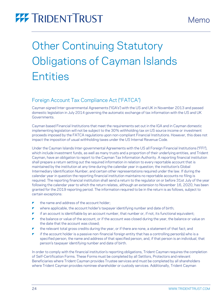# **Other Continuing Statutory** Obligations of Cayman Islands **Entities**

### <span id="page-23-0"></span>Foreign Account Tax Compliance Act ("FATCA")

Cayman signed Inter-governmental Agreements ("IGA's") with the US and UK in November 2013 and passed domestic legislation in July 2014 governing the automatic exchange of tax information with the US and UK Governments.

Cayman based Financial Institutions that meet the requirements set out in the IGA and in Cayman domestic implementing legislation will not be subject to the 30% withholding tax on US source income or investment proceeds imposed by the FATCA regulations upon non-compliant Financial Institutions. However, this does not impact the imposition of usual withholding taxes under the US Internal Revenue Code.

Under the Cayman Islands Inter-governmental Agreements with the US all Foreign Financial Institutions ("FFI"), which include investment funds, as well as many trusts and a proportion of their underlying entities, and Trident Cayman, have an obligation to report to the Cayman Tax Information Authority. A reporting financial institution shall prepare a return setting out the required information in relation to every reportable account that is maintained by the institution at any time during the calendar year in question; the institution's Global Intermediary Identification Number; and certain other representations required under the law. If during the calendar year in question the reporting financial institution maintains no reportable accounts no filing is required. The reporting financial institution shall send a return to the regulator on or before 31st July of the year following the calendar year to which the return relates, although an extension to November 16, 2020, has been granted for the 2019 reporting period. The information required to be in the return is as follows, subject to certain exceptions:

- the name and address of the account holder;
- where applicable, the account holder's taxpayer identifying number and date of birth;
- $\triangleright$  if an account is identifiable by an account number, that number or, if not, its functional equivalent;
- $\blacktriangleright$  the balance or value of the account, or if the account was closed during the year, the balance or value on the date that the account was closed;
- the relevant total gross credits during the year, or if there are none, a statement of that fact; and
- $\blacktriangleright$  if the account holder is a passive non-financial foreign entity that has a controlling person(s) who is a specified person, the name and address of that specified person, and, if that person is an individual, that person's taxpayer identifying number and date of birth.

In order to comply with the financial institution's reporting obligations, Trident Cayman requires the completion of Self-Certification Forms. These Forms must be completed by all Settlors, Protectors and relevant Beneficiaries where Trident Cayman provides Trustee services and must be completed by all shareholders where Trident Cayman provides nominee shareholder or custody services. Additionally, Trident Cayman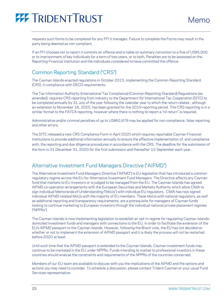

requests such forms to be completed for any FFI it manages. Failure to complete the Forms may result in the party being deemed as non-compliant.

If an FFI chooses not to report it commits an offence and is liable on summary conviction to a fine of US\$5,000, or to imprisonment of key individuals for a term of two years, or to both. Penalties are to be assessed on the Reporting Financial Institution and the individuals considered to have committed the offence.

### <span id="page-24-0"></span>Common Reporting Standard ("CRS")

The Cayman Islands enacted regulations in October 2015, implementing the Common Reporting Standard (CRS), in compliance with OECD requirements.

The Tax Information Authority (International Tax Compliance) (Common Reporting Standard) Regulations (as amended), requires CRS reporting from industry to the Department for International Tax Cooperation (DITC) to be completed annually by 31 July of the year following the calendar year to which the return relates , although an extension to November 16, 2020, has been granted for the 2019 reporting period. This CRS reporting is in a similar format to the FATCA reporting, however where there is nothing to report a "nil return" is required.

Administrative and/or criminal penalties of up to US\$60,976 may be applied for non-compliance, false reporting and other errors.

The DITC released a new CRS Compliance Form in April 2020 which requires reportable Cayman Financial Institutions to provide additional information annually to ensure the effective implementation of, and compliance with, the reporting and due diligence procedures in accordance with the CRS. The deadline for the submission of the form is 31 December 31, 2020 for the first submission and thereafter 15 September each year.

### <span id="page-24-1"></span>Alternative Investment Fund Managers Directive ("AIFMD")

The Alternative Investment Fund Managers Directive ("AIFMD") is EU legislation that has introduced a common regulatory regime across the EU for Alternative Investment Fund Managers. The Directive affects any Cayman fund that markets to EU investors or is judged to be managed from the EU. The Cayman Islands has agreed AIFMD co-operation arrangements with the European Securities and Markets Authority which allow CIMA to sign individual Memoranda of Understanding ("MoUs") with individual EU regulators. CIMA has now signed individual AIFMD-related MoUs with the majority of EU members. These MoUs with national regulators, as well as additional reporting and transparency requirements, are a prerequisite for managers of Cayman funds looking to continue marketing to European investors through the individual national private placement regimes ("NPPRs").

The Cayman Islands is now implementing legislation to establish an opt-in regime for regulating Cayman Islandsdomiciled investment funds and managers with connections to the EU, in order to facilitate the extension of the EU's AIFMD passport to the Cayman Islands. However, following the Brexit vote, the EU has not decided on whether or not to implement the extension of AIFMD passport and it is likely the process will not be restarted before 2020 at least.

Until such time that the AIFMD passport is extended to the Cayman Islands, Cayman investment funds may continue to be marketed in the EU under NPPRs. Funds intending to market to professional investors in these countries should analyse the constraints and requirements of the NPPRs of the countries concerned.

Members of our EU team are available to discuss with you the implications of the AIFMD and the options and actions you may need to consider. To schedule a discussion, please contact Trident Cayman or your usual Fund Services representative.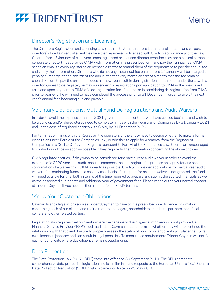### <span id="page-25-0"></span>Director's Registration and Licensing

The Directors Registration and Licensing Law requires that the directors (both natural persons and corporate directors) of certain regulated entities be either registered or licensed with CIMA in accordance with the Law. On or before 15 January of each year, each registered or licensed director (whether they are a natural person or corporate director) must provide CIMA with information in a prescribed form and pay their annual fee. CIMA sends an email to every registered or licensed director to remind them of the requirement to pay the annual fee and verify their information. Directors who do not pay the annual fee on or before 15 January will be charged a penalty surcharge of one-twelfth of the annual fee for every month or part of a month that the fee remains unpaid. Failure to pay the annual fee does not however result in de-registration of a director under the Law. If a director wishes to de-register, he may surrender his registration upon application to CIMA in the prescribed form and upon payment to CIMA of a de-registration fee. If a director is considering de-registration from CIMA prior to year-end, he will need to have completed the process prior to 31 December in order to avoid the next year's annual fees becoming due and payable.

### <span id="page-25-1"></span>Voluntary Liquidations, Mutual Fund De-registrations and Audit Waivers

In order to avoid the expense of annual 2021 government fees, entities who have ceased business and wish to be wound up and/or deregistered need to complete filings with the Registrar of Companies by 31 January 2021 and, in the case of regulated entities with CIMA, by 31 December 2020.

For termination filings with the Registrar, the operators of the entity need to decide whether to make a formal dissolution under Part V of the Companies Law, or whether to apply for a removal from the Register of Companies as a "Strike Off" by the Registrar pursuant to Part VI of the Companies Law. Clients are encouraged to contact our office as soon as possible if they require further information concerning the above choices.

CIMA regulated entities, if they wish to be considered for a partial year audit waiver in order to avoid the expense of a 2020 year-end audit, should commence their de-registration process and apply for and seek confirmation of a waiver from CIMA as early as possible. CIMA will consider applications for partial year audit waivers for terminating funds on a case by case basis. If a request for an audit waiver is not granted, the fund will need to allow for this, both in terms of the time required to prepare and submit the audited financials as well as the associated audit costs and additional year of government fees. Please reach out to your normal contact at Trident Cayman if you need further information on CIMA termination.

### <span id="page-25-2"></span>"Know Your Customer" Obligations

Cayman Islands legislation requires Trident Cayman to have on file prescribed due diligence information concerning each of our clients and their directors, managers, shareholders, members, partners, beneficial owners and other related parties.

Legislation also requires that on clients where the necessary due diligence information is not provided, a Financial Service Provider ("FSP"), such as Trident Cayman, must determine whether they wish to continue the relationship with that client. Failure to properly assess the status of non-compliant clients will place the FSP's own licence in jeopardy and can result in legal penalties. To meet these requirements Trident Cayman will notify each of our clients where due diligence remains outstanding.

### <span id="page-25-3"></span>Data Protection

The Data Protection Law 2017 ("DPL") came into effect on 30 September 2019. The DPL represents comprehensive data protection legislation and is similar in many respects to the European Union's ("EU") General Data Protection Regulation ("GDPR") which came into force on 25 May 2018.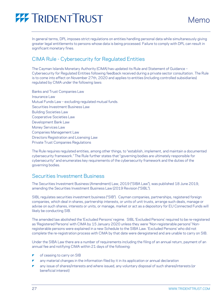In general terms, DPL imposes strict regulations on entities handling personal data while simultaneously giving greater legal entitlements to persons whose data is being processed. Failure to comply with DPL can result in significant monetary fines.

### CIMA Rule - Cybersecurity for Regulated Entities

The Cayman Islands Monetary Authority (CIMA) has updated its Rule and Statement of Guidance – Cybersecurity for Regulated Entities following feedback received during a private sector consultation. The Rule is to come into effect on November 27th, 2020 and applies to entities (including controlled subsidiaries) regulated by CIMA under the following laws:

Banks and Trust Companies Law Insurance Law Mutual Funds Law – excluding regulated mutual funds. Securities Investment Business Law Building Societies Law Cooperative Societies Law Development Bank Law Money Services Law Companies Management Law Directors Registration and Licensing Law Private Trust Companies Regulations

The Rule requires regulated entities, among other things, to "establish, implement, and maintain a documented cybersecurity framework." The Rule further states that "governing bodies are ultimately responsible for cybersecurity" and enumerates key requirements of the cybersecurity framework and the duties of the governing bodies.

### <span id="page-26-0"></span>Securities Investment Business

The Securities Investment Business (Amendment) Law, 2019 ("SIBA Law"), was published 18 June 2019, amending the Securities Investment Business Law (2019 Revision ("SIBL").

SIBL regulates securities investment business ("SIB"). Cayman companies, partnerships, registered foreign companies, which deal in shares, partnership interests, or units of unit trusts, arrange such deals, manage or advise on such shares, interests or units, or manage, market or act as a depository for EU Connected Funds will likely be conducting SIB.

The amended law abolished the 'Excluded Persons' regime. SIBL 'Excluded Persons' required to be re-registered as 'Registered Persons' with CIMA by 15 January 2020 unless they were "Non-registerable persons" Nonregisterable persons were explained in a new Schedule to the SIBA Law. 'Excluded Persons' who did not complete the re-registration process with CIMA by that date were deregistered and are unable to carry on SIB.

Under the SIBA Law there are a number of requirements including the filing of an annual return, payment of an annual fee and notifying CIMA within 21 days of the following:

- of ceasing to carry on SIB
- any material changes in the information filed by it in its application or annual declaration
- any issue of shares/interests and where issued, any voluntary disposal of such shares/interests (or beneficial interest)

Memo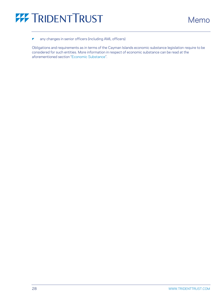

 $\blacksquare$  any changes in senior officers (including AML officers)

Obligations and requirements as in terms of the Cayman Islands economic substance legislation require to be considered for such entities. More information in respect of economic substance can be read at the aforementioned section "[Economic Substance](#page-6-0)".